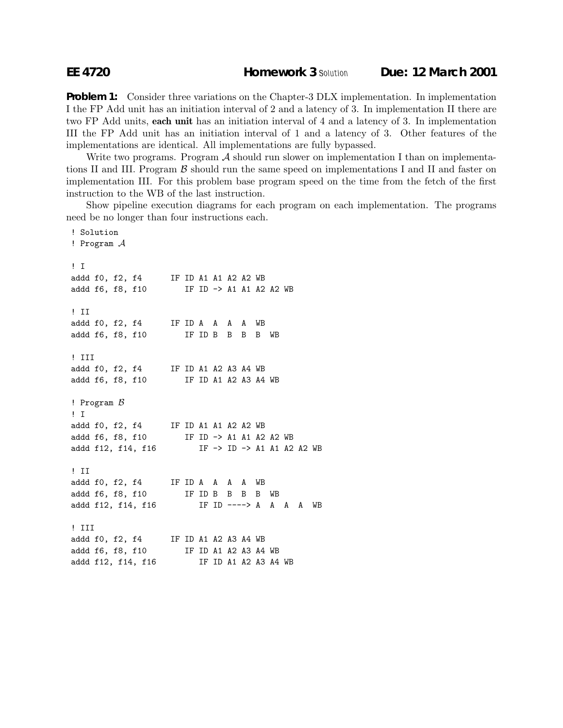## **EE 4720 Homework 3** *Solution* **Due: 12 March 2001**

**Problem 1:** Consider three variations on the Chapter-3 DLX implementation. In implementation I the FP Add unit has an initiation interval of 2 and a latency of 3. In implementation II there are two FP Add units, **each unit** has an initiation interval of 4 and a latency of 3. In implementation III the FP Add unit has an initiation interval of 1 and a latency of 3. Other features of the implementations are identical. All implementations are fully bypassed.

Write two programs. Program  $\mathcal A$  should run slower on implementation I than on implementations II and III. Program  $\beta$  should run the same speed on implementations I and II and faster on implementation III. For this problem base program speed on the time from the fetch of the first instruction to the WB of the last instruction.

Show pipeline execution diagrams for each program on each implementation. The programs need be no longer than four instructions each.

```
! Solution
! Program A
! I
addd f0, f2, f4 IF ID A1 A1 A2 A2 WB
addd f6, f8, f10 IF ID -> A1 A1 A2 A2 WB
! II
addd f0, f2, f4 IF ID A A A A WB
addd f6, f8, f10 IF ID B B B B WB
! III
addd f0, f2, f4 IF ID A1 A2 A3 A4 WB
addd f6, f8, f10 IF ID A1 A2 A3 A4 WB
! Program \beta! I
addd f0, f2, f4 IF ID A1 A1 A2 A2 WB
addd f6, f8, f10 IF ID -> A1 A1 A2 A2 WB
addd f12, f14, f16 IF -> ID -> A1 A1 A2 A2 WB
! II
addd f0, f2, f4 IF ID A A A A WB
addd f6, f8, f10 IF ID B B B WB
addd f12, f14, f16 IF ID ----> A A A A WB
! III
addd f0, f2, f4 IF ID A1 A2 A3 A4 WB
addd f6, f8, f10 IF ID A1 A2 A3 A4 WB
addd f12, f14, f16 IF ID A1 A2 A3 A4 WB
```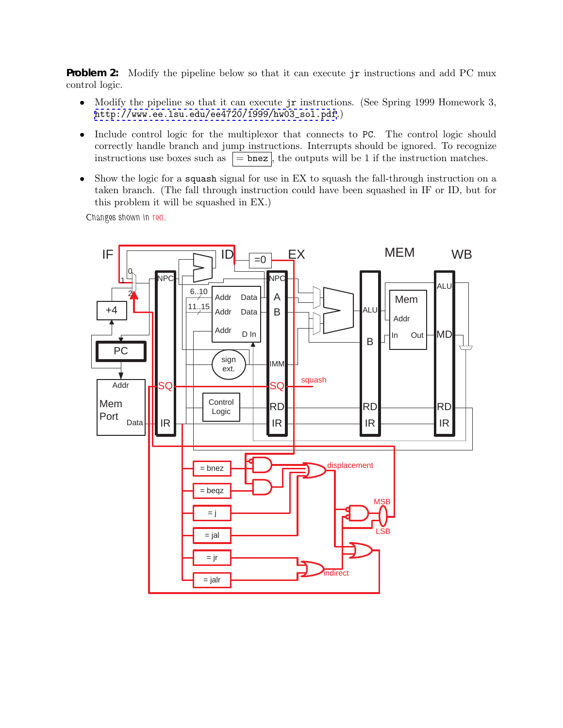**Problem 2:** Modify the pipeline below so that it can execute jr instructions and add PC mux control logic.

- Modify the pipeline so that it can execute jr instructions. (See Spring 1999 Homework 3, [http://www.ee.lsu.edu/ee4720/1999/hw03\\_sol.pdf](http://www.ee.lsu.edu/ee4720/1999/hw03_sol.pdf).)
- Include control logic for the multiplexor that connects to PC. The control logic should correctly handle branch and jump instructions. Interrupts should be ignored. To recognize instructions use boxes such as  $\vert$  = bnez $\vert$ , the outputs will be 1 if the instruction matches.
- Show the logic for a **squash** signal for use in EX to squash the fall-through instruction on a taken branch. (The fall through instruction could have been squashed in IF or ID, but for this problem it will be squashed in EX.)

*Changes shown in red.*